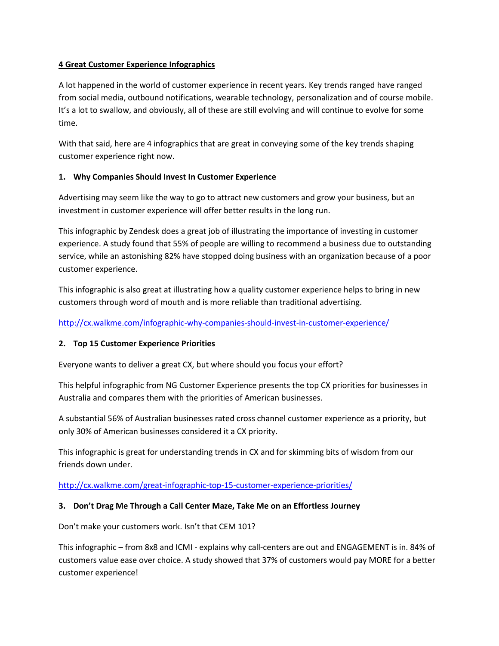### **4 Great Customer Experience Infographics**

A lot happened in the world of customer experience in recent years. Key trends ranged have ranged from social media, outbound notifications, wearable technology, personalization and of course mobile. It's a lot to swallow, and obviously, all of these are still evolving and will continue to evolve for some time.

With that said, here are 4 infographics that are great in conveying some of the key trends shaping customer experience right now.

## **1. Why Companies Should Invest In Customer Experience**

Advertising may seem like the way to go to attract new customers and grow your business, but an investment in customer experience will offer better results in the long run.

This infographic by Zendesk does a great job of illustrating the importance of investing in customer experience. A study found that 55% of people are willing to recommend a business due to outstanding service, while an astonishing 82% have stopped doing business with an organization because of a poor customer experience.

This infographic is also great at illustrating how a quality customer experience helps to bring in new customers through word of mouth and is more reliable than traditional advertising.

<http://cx.walkme.com/infographic-why-companies-should-invest-in-customer-experience/>

## **2. Top 15 Customer Experience Priorities**

Everyone wants to deliver a great CX, but where should you focus your effort?

This helpful infographic from NG Customer Experience presents the top CX priorities for businesses in Australia and compares them with the priorities of American businesses.

A substantial 56% of Australian businesses rated cross channel customer experience as a priority, but only 30% of American businesses considered it a CX priority.

This infographic is great for understanding trends in CX and for skimming bits of wisdom from our friends down under.

<http://cx.walkme.com/great-infographic-top-15-customer-experience-priorities/>

## **3. Don't Drag Me Through a Call Center Maze, Take Me on an Effortless Journey**

Don't make your customers work. Isn't that CEM 101?

This infographic – from 8x8 and ICMI - explains why call-centers are out and ENGAGEMENT is in. 84% of customers value ease over choice. A study showed that 37% of customers would pay MORE for a better customer experience!